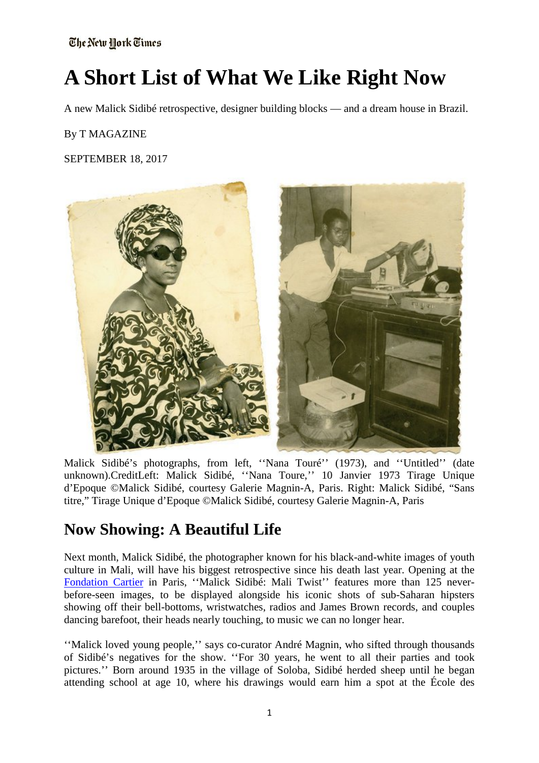# **A Short List of What We Like Right Now**

A new Malick Sidibé retrospective, designer building blocks — and a dream house in Brazil.

#### By T MAGAZINE

#### SEPTEMBER 18, 2017



Malick Sidibé's photographs, from left, ''Nana Touré'' (1973), and ''Untitled'' (date unknown).CreditLeft: Malick Sidibé, ''Nana Toure,'' 10 Janvier 1973 Tirage Unique d'Epoque ©Malick Sidibé, courtesy Galerie Magnin-A, Paris. Right: Malick Sidibé, "Sans titre," Tirage Unique d'Epoque ©Malick Sidibé, courtesy Galerie Magnin-A, Paris

### **Now Showing: A Beautiful Life**

Next month, Malick Sidibé, the photographer known for his black-and-white images of youth culture in Mali, will have his biggest retrospective since his death last year. Opening at the [Fondation Cartier](http://www.fondationcartier.com/) in Paris, ''Malick Sidibé: Mali Twist'' features more than 125 neverbefore-seen images, to be displayed alongside his iconic shots of sub-Saharan hipsters showing off their bell-bottoms, wristwatches, radios and James Brown records, and couples dancing barefoot, their heads nearly touching, to music we can no longer hear.

''Malick loved young people,'' says co-curator André Magnin, who sifted through thousands of Sidibé's negatives for the show. ''For 30 years, he went to all their parties and took pictures.'' Born around 1935 in the village of Soloba, Sidibé herded sheep until he began attending school at age 10, where his drawings would earn him a spot at the École des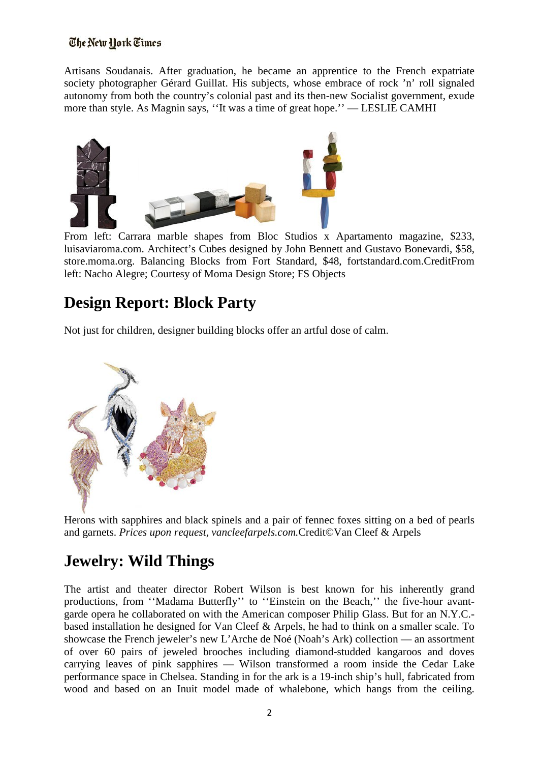Artisans Soudanais. After graduation, he became an apprentice to the French expatriate society photographer Gérard Guillat. His subjects, whose embrace of rock 'n' roll signaled autonomy from both the country's colonial past and its then-new Socialist government, exude more than style. As Magnin says, ''It was a time of great hope.'' — LESLIE CAMHI



From left: Carrara marble shapes from Bloc Studios x Apartamento magazine, \$233, luisaviaroma.com. Architect's Cubes designed by John Bennett and Gustavo Bonevardi, \$58, store.moma.org. Balancing Blocks from Fort Standard, \$48, fortstandard.com.CreditFrom left: Nacho Alegre; Courtesy of Moma Design Store; FS Objects

### **Design Report: Block Party**

Not just for children, designer building blocks offer an artful dose of calm.



Herons with sapphires and black spinels and a pair of fennec foxes sitting on a bed of pearls and garnets. *Prices upon request, vancleefarpels.com.*Credit©Van Cleef & Arpels

### **Jewelry: Wild Things**

The artist and theater director Robert Wilson is best known for his inherently grand productions, from ''Madama Butterfly'' to ''Einstein on the Beach,'' the five-hour avantgarde opera he collaborated on with the American composer Philip Glass. But for an N.Y.C. based installation he designed for Van Cleef & Arpels, he had to think on a smaller scale. To showcase the French jeweler's new L'Arche de Noé (Noah's Ark) collection — an assortment of over 60 pairs of jeweled brooches including diamond-studded kangaroos and doves carrying leaves of pink sapphires — Wilson transformed a room inside the Cedar Lake performance space in Chelsea. Standing in for the ark is a 19-inch ship's hull, fabricated from wood and based on an Inuit model made of whalebone, which hangs from the ceiling.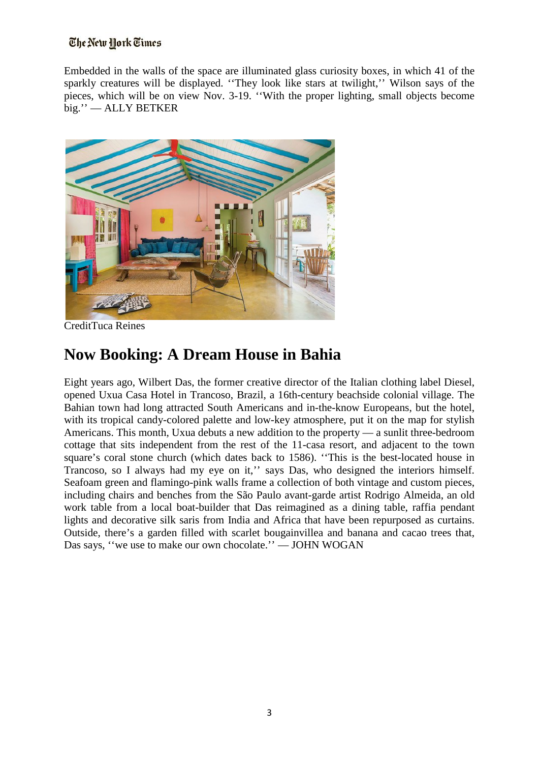Embedded in the walls of the space are illuminated glass curiosity boxes, in which 41 of the sparkly creatures will be displayed. ''They look like stars at twilight,'' Wilson says of the pieces, which will be on view Nov. 3-19. ''With the proper lighting, small objects become big.'' — ALLY BETKER



CreditTuca Reines

### **Now Booking: A Dream House in Bahia**

Eight years ago, Wilbert Das, the former creative director of the Italian clothing label Diesel, opened Uxua Casa Hotel in Trancoso, Brazil, a 16th-century beachside colonial village. The Bahian town had long attracted South Americans and in-the-know Europeans, but the hotel, with its tropical candy-colored palette and low-key atmosphere, put it on the map for stylish Americans. This month, Uxua debuts a new addition to the property — a sunlit three-bedroom cottage that sits independent from the rest of the 11-casa resort, and adjacent to the town square's coral stone church (which dates back to 1586). ''This is the best-located house in Trancoso, so I always had my eye on it,'' says Das, who designed the interiors himself. Seafoam green and flamingo-pink walls frame a collection of both vintage and custom pieces, including chairs and benches from the São Paulo avant-garde artist Rodrigo Almeida, an old work table from a local boat-builder that Das reimagined as a dining table, raffia pendant lights and decorative silk saris from India and Africa that have been repurposed as curtains. Outside, there's a garden filled with scarlet bougainvillea and banana and cacao trees that, Das says, ''we use to make our own chocolate.'' — JOHN WOGAN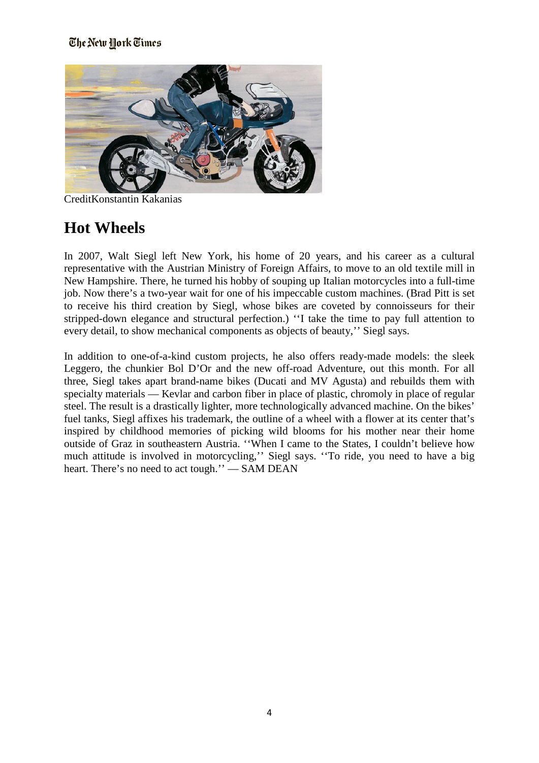

CreditKonstantin Kakanias

## **Hot Wheels**

In 2007, Walt Siegl left New York, his home of 20 years, and his career as a cultural representative with the Austrian Ministry of Foreign Affairs, to move to an old textile mill in New Hampshire. There, he turned his hobby of souping up Italian motorcycles into a full-time job. Now there's a two-year wait for one of his impeccable custom machines. (Brad Pitt is set to receive his third creation by Siegl, whose bikes are coveted by connoisseurs for their stripped-down elegance and structural perfection.) ''I take the time to pay full attention to every detail, to show mechanical components as objects of beauty,'' Siegl says.

In addition to one-of-a-kind custom projects, he also offers ready-made models: the sleek Leggero, the chunkier Bol D'Or and the new off-road Adventure, out this month. For all three, Siegl takes apart brand-name bikes (Ducati and MV Agusta) and rebuilds them with specialty materials — Kevlar and carbon fiber in place of plastic, chromoly in place of regular steel. The result is a drastically lighter, more technologically advanced machine. On the bikes' fuel tanks, Siegl affixes his trademark, the outline of a wheel with a flower at its center that's inspired by childhood memories of picking wild blooms for his mother near their home outside of Graz in southeastern Austria. ''When I came to the States, I couldn't believe how much attitude is involved in motorcycling,'' Siegl says. ''To ride, you need to have a big heart. There's no need to act tough." — SAM DEAN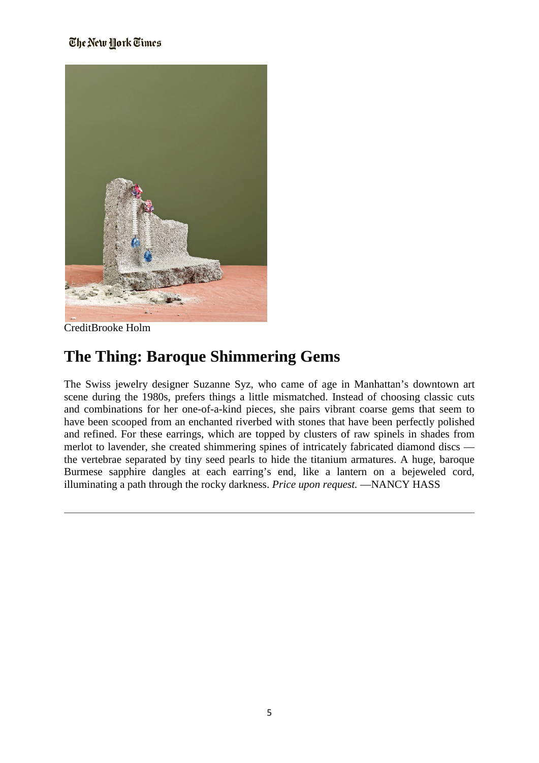

CreditBrooke Holm

### **The Thing: Baroque Shimmering Gems**

The Swiss jewelry designer Suzanne Syz, who came of age in Manhattan's downtown art scene during the 1980s, prefers things a little mismatched. Instead of choosing classic cuts and combinations for her one-of-a-kind pieces, she pairs vibrant coarse gems that seem to have been scooped from an enchanted riverbed with stones that have been perfectly polished and refined. For these earrings, which are topped by clusters of raw spinels in shades from merlot to lavender, she created shimmering spines of intricately fabricated diamond discs the vertebrae separated by tiny seed pearls to hide the titanium armatures. A huge, baroque Burmese sapphire dangles at each earring's end, like a lantern on a bejeweled cord, illuminating a path through the rocky darkness. *Price upon request.* —NANCY HASS